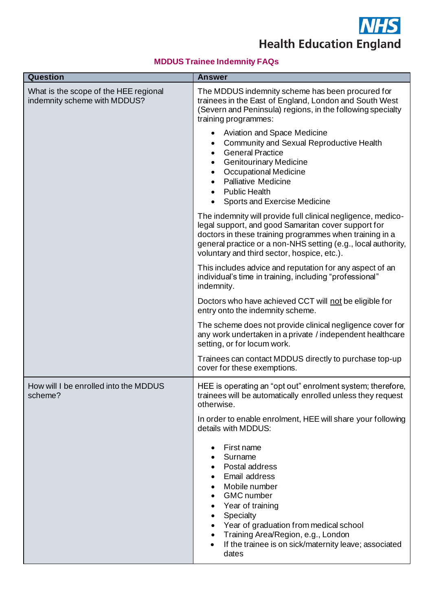

**Health Education England** 

## **MDDUS Trainee Indemnity FAQs**

| Question                                                              | <b>Answer</b>                                                                                                                                                                                                                                                                                  |
|-----------------------------------------------------------------------|------------------------------------------------------------------------------------------------------------------------------------------------------------------------------------------------------------------------------------------------------------------------------------------------|
| What is the scope of the HEE regional<br>indemnity scheme with MDDUS? | The MDDUS indemnity scheme has been procured for<br>trainees in the East of England, London and South West<br>(Severn and Peninsula) regions, in the following specialty<br>training programmes:                                                                                               |
|                                                                       | Aviation and Space Medicine<br><b>Community and Sexual Reproductive Health</b><br><b>General Practice</b><br><b>Genitourinary Medicine</b><br><b>Occupational Medicine</b><br><b>Palliative Medicine</b><br><b>Public Health</b><br>Sports and Exercise Medicine                               |
|                                                                       | The indemnity will provide full clinical negligence, medico-<br>legal support, and good Samaritan cover support for<br>doctors in these training programmes when training in a<br>general practice or a non-NHS setting (e.g., local authority,<br>voluntary and third sector, hospice, etc.). |
|                                                                       | This includes advice and reputation for any aspect of an<br>individual's time in training, including "professional"<br>indemnity.                                                                                                                                                              |
|                                                                       | Doctors who have achieved CCT will not be eligible for<br>entry onto the indemnity scheme.                                                                                                                                                                                                     |
|                                                                       | The scheme does not provide clinical negligence cover for<br>any work undertaken in a private / independent healthcare<br>setting, or for locum work.                                                                                                                                          |
|                                                                       | Trainees can contact MDDUS directly to purchase top-up<br>cover for these exemptions.                                                                                                                                                                                                          |
| How will I be enrolled into the MDDUS<br>scheme?                      | HEE is operating an "opt out" enrolment system; therefore,<br>trainees will be automatically enrolled unless they request<br>otherwise.                                                                                                                                                        |
|                                                                       | In order to enable enrolment, HEE will share your following<br>details with MDDUS:                                                                                                                                                                                                             |
|                                                                       | First name<br>Surname<br>Postal address<br>Email address<br>Mobile number<br><b>GMC</b> number<br>Year of training<br>Specialty<br>Year of graduation from medical school<br>Training Area/Region, e.g., London<br>If the trainee is on sick/maternity leave; associated<br>dates              |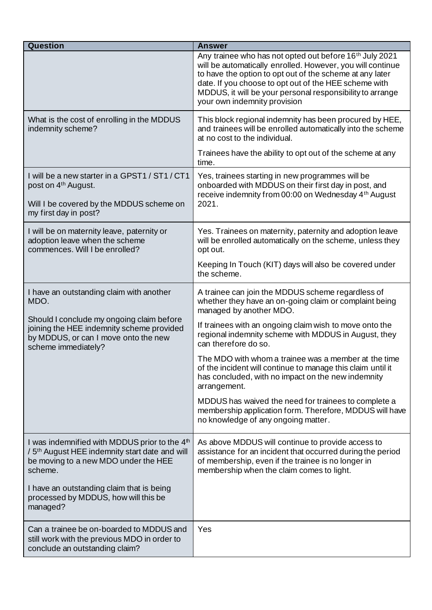| <b>Question</b>                                                                                                                                                            | <b>Answer</b>                                                                                                                                                                                                                                                                                                                                       |
|----------------------------------------------------------------------------------------------------------------------------------------------------------------------------|-----------------------------------------------------------------------------------------------------------------------------------------------------------------------------------------------------------------------------------------------------------------------------------------------------------------------------------------------------|
|                                                                                                                                                                            | Any trainee who has not opted out before 16 <sup>th</sup> July 2021<br>will be automatically enrolled. However, you will continue<br>to have the option to opt out of the scheme at any later<br>date. If you choose to opt out of the HEE scheme with<br>MDDUS, it will be your personal responsibility to arrange<br>your own indemnity provision |
| What is the cost of enrolling in the MDDUS<br>indemnity scheme?                                                                                                            | This block regional indemnity has been procured by HEE,<br>and trainees will be enrolled automatically into the scheme<br>at no cost to the individual.                                                                                                                                                                                             |
|                                                                                                                                                                            | Trainees have the ability to opt out of the scheme at any<br>time.                                                                                                                                                                                                                                                                                  |
| I will be a new starter in a GPST1 / ST1 / CT1<br>post on 4 <sup>th</sup> August.<br>Will I be covered by the MDDUS scheme on<br>my first day in post?                     | Yes, trainees starting in new programmes will be<br>onboarded with MDDUS on their first day in post, and<br>receive indemnity from 00:00 on Wednesday 4th August<br>2021.                                                                                                                                                                           |
| I will be on maternity leave, paternity or<br>adoption leave when the scheme<br>commences. Will I be enrolled?                                                             | Yes. Trainees on maternity, paternity and adoption leave<br>will be enrolled automatically on the scheme, unless they<br>opt out.                                                                                                                                                                                                                   |
|                                                                                                                                                                            | Keeping In Touch (KIT) days will also be covered under<br>the scheme.                                                                                                                                                                                                                                                                               |
| I have an outstanding claim with another<br>MDO.                                                                                                                           | A trainee can join the MDDUS scheme regardless of<br>whether they have an on-going claim or complaint being<br>managed by another MDO.                                                                                                                                                                                                              |
| Should I conclude my ongoing claim before<br>joining the HEE indemnity scheme provided<br>by MDDUS, or can I move onto the new<br>scheme immediately?                      | If trainees with an ongoing claim wish to move onto the<br>regional indemnity scheme with MDDUS in August, they<br>can therefore do so.                                                                                                                                                                                                             |
|                                                                                                                                                                            | The MDO with whom a trainee was a member at the time<br>of the incident will continue to manage this claim until it<br>has concluded, with no impact on the new indemnity<br>arrangement.                                                                                                                                                           |
|                                                                                                                                                                            | MDDUS has waived the need for trainees to complete a<br>membership application form. Therefore, MDDUS will have<br>no knowledge of any ongoing matter.                                                                                                                                                                                              |
| I was indemnified with MDDUS prior to the 4 <sup>th</sup><br>/ 5 <sup>th</sup> August HEE indemnity start date and will<br>be moving to a new MDO under the HEE<br>scheme. | As above MDDUS will continue to provide access to<br>assistance for an incident that occurred during the period<br>of membership, even if the trainee is no longer in<br>membership when the claim comes to light.                                                                                                                                  |
| I have an outstanding claim that is being<br>processed by MDDUS, how will this be<br>managed?                                                                              |                                                                                                                                                                                                                                                                                                                                                     |
| Can a trainee be on-boarded to MDDUS and<br>still work with the previous MDO in order to<br>conclude an outstanding claim?                                                 | Yes                                                                                                                                                                                                                                                                                                                                                 |